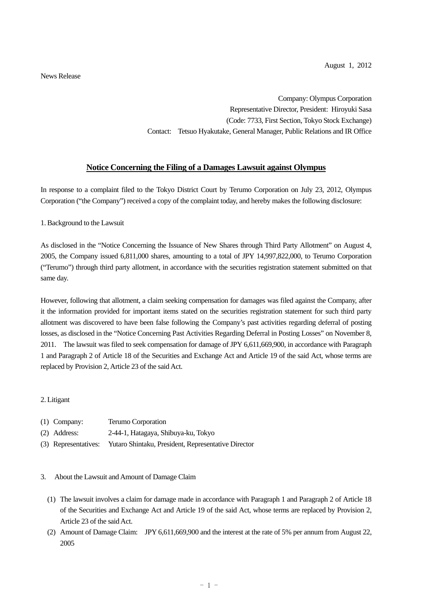News Release

Company: Olympus Corporation Representative Director, President: Hiroyuki Sasa (Code: 7733, First Section, Tokyo Stock Exchange) Contact: Tetsuo Hyakutake, General Manager, Public Relations and IR Office

## **Notice Concerning the Filing of a Damages Lawsuit against Olympus**

In response to a complaint filed to the Tokyo District Court by Terumo Corporation on July 23, 2012, Olympus Corporation ("the Company") received a copy of the complaint today, and hereby makes the following disclosure:

1. Background to the Lawsuit

As disclosed in the "Notice Concerning the Issuance of New Shares through Third Party Allotment" on August 4, 2005, the Company issued 6,811,000 shares, amounting to a total of JPY 14,997,822,000, to Terumo Corporation ("Terumo") through third party allotment, in accordance with the securities registration statement submitted on that same day.

However, following that allotment, a claim seeking compensation for damages was filed against the Company, after it the information provided for important items stated on the securities registration statement for such third party allotment was discovered to have been false following the Company's past activities regarding deferral of posting losses, as disclosed in the "Notice Concerning Past Activities Regarding Deferral in Posting Losses" on November 8, 2011. The lawsuit was filed to seek compensation for damage of JPY 6,611,669,900, in accordance with Paragraph 1 and Paragraph 2 of Article 18 of the Securities and Exchange Act and Article 19 of the said Act, whose terms are replaced by Provision 2, Article 23 of the said Act.

## 2. Litigant

| $(1)$ Company: | Terumo Corporation |
|----------------|--------------------|
|----------------|--------------------|

- (2) Address: 2-44-1, Hatagaya, Shibuya-ku, Tokyo
- (3) Representatives: Yutaro Shintaku, President, Representative Director

## 3. About the Lawsuit and Amount of Damage Claim

- (1) The lawsuit involves a claim for damage made in accordance with Paragraph 1 and Paragraph 2 of Article 18 of the Securities and Exchange Act and Article 19 of the said Act, whose terms are replaced by Provision 2, Article 23 of the said Act.
- (2) Amount of Damage Claim: JPY 6,611,669,900 and the interest at the rate of 5% per annum from August 22, 2005